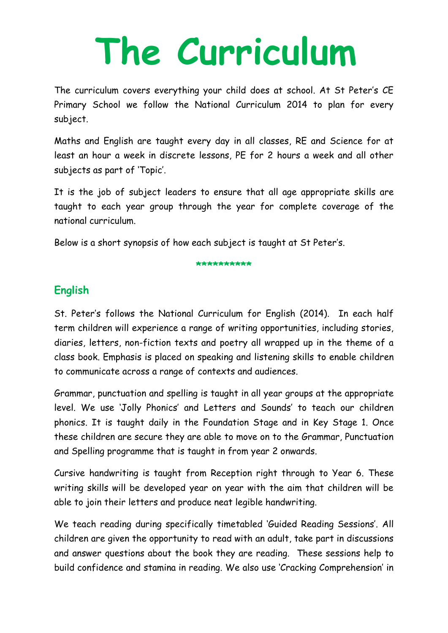# **The Curriculum**

The curriculum covers everything your child does at school. At St Peter's CE Primary School we follow the National Curriculum 2014 to plan for every subject.

Maths and English are taught every day in all classes, RE and Science for at least an hour a week in discrete lessons, PE for 2 hours a week and all other subjects as part of 'Topic'.

It is the job of subject leaders to ensure that all age appropriate skills are taught to each year group through the year for complete coverage of the national curriculum.

Below is a short synopsis of how each subject is taught at St Peter's.

#### **\*\*\*\*\*\*\*\*\*\***

# **English**

St. Peter's follows the National Curriculum for English (2014). In each half term children will experience a range of writing opportunities, including stories, diaries, letters, non-fiction texts and poetry all wrapped up in the theme of a class book. Emphasis is placed on speaking and listening skills to enable children to communicate across a range of contexts and audiences.

Grammar, punctuation and spelling is taught in all year groups at the appropriate level. We use 'Jolly Phonics' and Letters and Sounds' to teach our children phonics. It is taught daily in the Foundation Stage and in Key Stage 1. Once these children are secure they are able to move on to the Grammar, Punctuation and Spelling programme that is taught in from year 2 onwards.

Cursive handwriting is taught from Reception right through to Year 6. These writing skills will be developed year on year with the aim that children will be able to join their letters and produce neat legible handwriting.

We teach reading during specifically timetabled 'Guided Reading Sessions'. All children are given the opportunity to read with an adult, take part in discussions and answer questions about the book they are reading. These sessions help to build confidence and stamina in reading. We also use 'Cracking Comprehension' in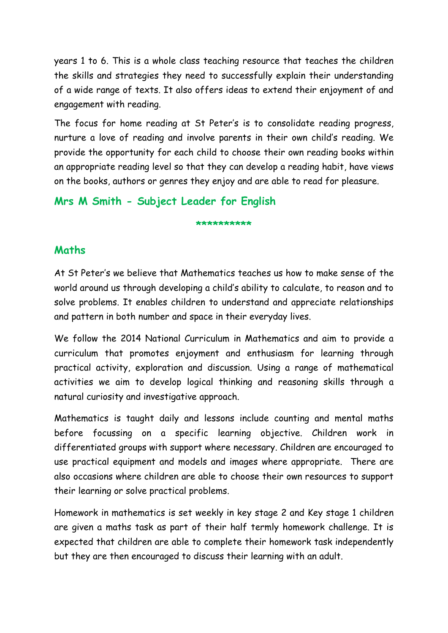years 1 to 6. This is a whole class teaching resource that teaches the children the skills and strategies they need to successfully explain their understanding of a wide range of texts. It also offers ideas to extend their enjoyment of and engagement with reading.

The focus for home reading at St Peter's is to consolidate reading progress, nurture a love of reading and involve parents in their own child's reading. We provide the opportunity for each child to choose their own reading books within an appropriate reading level so that they can develop a reading habit, have views on the books, authors or genres they enjoy and are able to read for pleasure.

# **Mrs M Smith - Subject Leader for English**

#### **\*\*\*\*\*\*\*\*\*\***

#### **Maths**

At St Peter's we believe that Mathematics teaches us how to make sense of the world around us through developing a child's ability to calculate, to reason and to solve problems. It enables children to understand and appreciate relationships and pattern in both number and space in their everyday lives.

We follow the 2014 National Curriculum in Mathematics and aim to provide a curriculum that promotes enjoyment and enthusiasm for learning through practical activity, exploration and discussion. Using a range of mathematical activities we aim to develop logical thinking and reasoning skills through a natural curiosity and investigative approach.

Mathematics is taught daily and lessons include counting and mental maths before focussing on a specific learning objective. Children work in differentiated groups with support where necessary. Children are encouraged to use practical equipment and models and images where appropriate. There are also occasions where children are able to choose their own resources to support their learning or solve practical problems.

Homework in mathematics is set weekly in key stage 2 and Key stage 1 children are given a maths task as part of their half termly homework challenge. It is expected that children are able to complete their homework task independently but they are then encouraged to discuss their learning with an adult.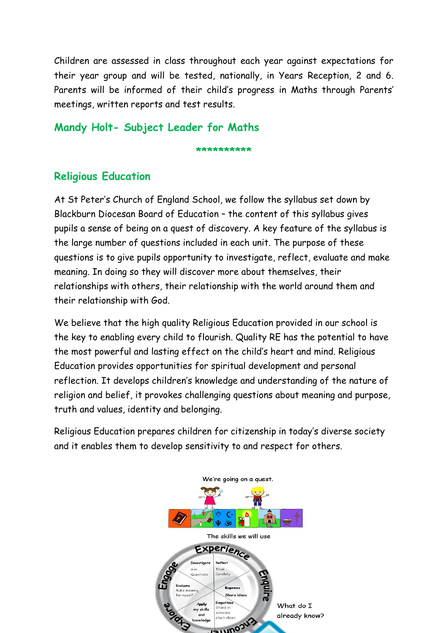Children are assessed in class throughout each year against expectations for their year group and will be tested, nationally, in Years Reception, 2 and 6. Parents will be informed of their child's progress in Maths through Parents' meetings, written reports and test results.

#### **Mandy Holt- Subject Leader for Maths**

**\*\*\*\*\*\*\*\*\*\***

# **Religious Education**

At St Peter's Church of England School, we follow the syllabus set down by Blackburn Diocesan Board of Education – the content of this syllabus gives pupils a sense of being on a quest of discovery. A key feature of the syllabus is the large number of questions included in each unit. The purpose of these questions is to give pupils opportunity to investigate, reflect, evaluate and make meaning. In doing so they will discover more about themselves, their relationships with others, their relationship with the world around them and their relationship with God.

We believe that the high quality Religious Education provided in our school is the key to enabling every child to flourish. Quality RE has the potential to have the most powerful and lasting effect on the child's heart and mind. Religious Education provides opportunities for spiritual development and personal reflection. It develops children's knowledge and understanding of the nature of religion and belief, it provokes challenging questions about meaning and purpose, truth and values, identity and belonging.

Religious Education prepares children for citizenship in today's diverse society and it enables them to develop sensitivity to and respect for others.

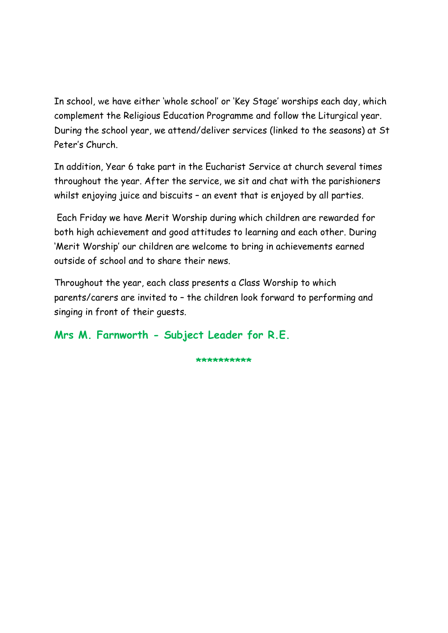In school, we have either 'whole school' or 'Key Stage' worships each day, which complement the Religious Education Programme and follow the Liturgical year. During the school year, we attend/deliver services (linked to the seasons) at St Peter's Church.

In addition, Year 6 take part in the Eucharist Service at church several times throughout the year. After the service, we sit and chat with the parishioners whilst enjoying juice and biscuits - an event that is enjoyed by all parties.

Each Friday we have Merit Worship during which children are rewarded for both high achievement and good attitudes to learning and each other. During 'Merit Worship' our children are welcome to bring in achievements earned outside of school and to share their news.

Throughout the year, each class presents a Class Worship to which parents/carers are invited to – the children look forward to performing and singing in front of their guests.

### **Mrs M. Farnworth - Subject Leader for R.E.**

**\*\*\*\*\*\*\*\*\*\***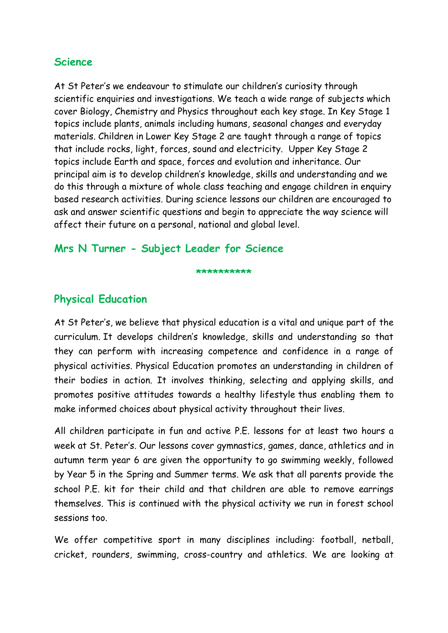#### **Science**

At St Peter's we endeavour to stimulate our children's curiosity through scientific enquiries and investigations. We teach a wide range of subjects which cover Biology, Chemistry and Physics throughout each key stage. In Key Stage 1 topics include plants, animals including humans, seasonal changes and everyday materials. Children in Lower Key Stage 2 are taught through a range of topics that include rocks, light, forces, sound and electricity. Upper Key Stage 2 topics include Earth and space, forces and evolution and inheritance. Our principal aim is to develop children's knowledge, skills and understanding and we do this through a mixture of whole class teaching and engage children in enquiry based research activities. During science lessons our children are encouraged to ask and answer scientific questions and begin to appreciate the way science will affect their future on a personal, national and global level.

#### **Mrs N Turner - Subject Leader for Science**

#### **\*\*\*\*\*\*\*\*\*\***

### **Physical Education**

At St Peter's, we believe that physical education is a vital and unique part of the curriculum. It develops children's knowledge, skills and understanding so that they can perform with increasing competence and confidence in a range of physical activities. Physical Education promotes an understanding in children of their bodies in action. It involves thinking, selecting and applying skills, and promotes positive attitudes towards a healthy lifestyle thus enabling them to make informed choices about physical activity throughout their lives.

All children participate in fun and active P.E. lessons for at least two hours a week at St. Peter's. Our lessons cover gymnastics, games, dance, athletics and in autumn term year 6 are given the opportunity to go swimming weekly, followed by Year 5 in the Spring and Summer terms. We ask that all parents provide the school P.E. kit for their child and that children are able to remove earrings themselves. This is continued with the physical activity we run in forest school sessions too.

We offer competitive sport in many disciplines including: football, netball, cricket, rounders, swimming, cross-country and athletics. We are looking at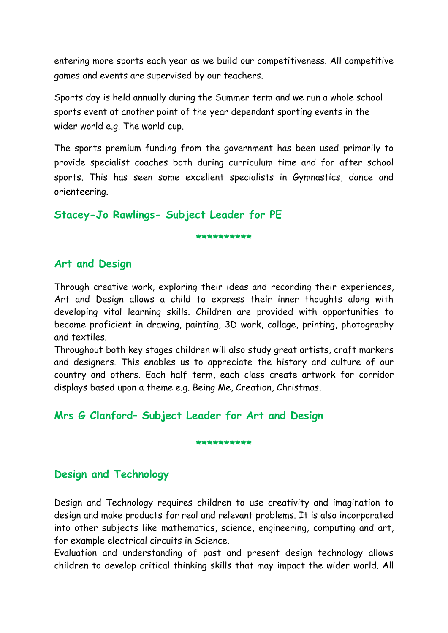entering more sports each year as we build our competitiveness. All competitive games and events are supervised by our teachers.

Sports day is held annually during the Summer term and we run a whole school sports event at another point of the year dependant sporting events in the wider world e.g. The world cup.

The sports premium funding from the government has been used primarily to provide specialist coaches both during curriculum time and for after school sports. This has seen some excellent specialists in Gymnastics, dance and orienteering.

#### **Stacey-Jo Rawlings- Subject Leader for PE**

**\*\*\*\*\*\*\*\*\*\***

### **Art and Design**

Through creative work, exploring their ideas and recording their experiences, Art and Design allows a child to express their inner thoughts along with developing vital learning skills. Children are provided with opportunities to become proficient in drawing, painting, 3D work, collage, printing, photography and textiles.

Throughout both key stages children will also study great artists, craft markers and designers. This enables us to appreciate the history and culture of our country and others. Each half term, each class create artwork for corridor displays based upon a theme e.g. Being Me, Creation, Christmas.

### **Mrs G Clanford– Subject Leader for Art and Design**

#### **\*\*\*\*\*\*\*\*\*\***

### **Design and Technology**

Design and Technology requires children to use creativity and imagination to design and make products for real and relevant problems. It is also incorporated into other subjects like mathematics, science, engineering, computing and art, for example electrical circuits in Science.

Evaluation and understanding of past and present design technology allows children to develop critical thinking skills that may impact the wider world. All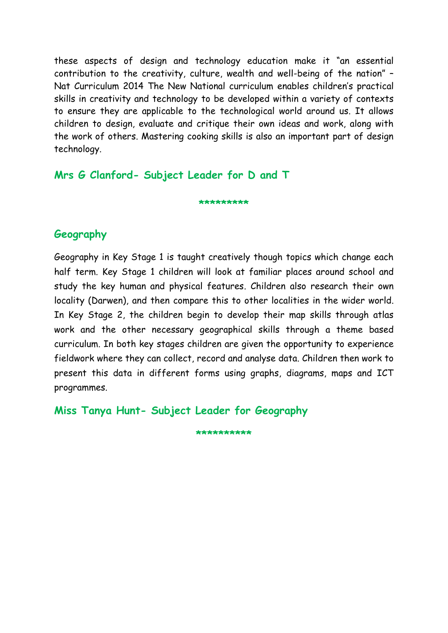these aspects of design and technology education make it "an essential contribution to the creativity, culture, wealth and well-being of the nation" – Nat Curriculum 2014 The New National curriculum enables children's practical skills in creativity and technology to be developed within a variety of contexts to ensure they are applicable to the technological world around us. It allows children to design, evaluate and critique their own ideas and work, along with the work of others. Mastering cooking skills is also an important part of design technology.

**Mrs G Clanford- Subject Leader for D and T**

**\*\*\*\*\*\*\*\*\***

#### **Geography**

Geography in Key Stage 1 is taught creatively though topics which change each half term. Key Stage 1 children will look at familiar places around school and study the key human and physical features. Children also research their own locality (Darwen), and then compare this to other localities in the wider world. In Key Stage 2, the children begin to develop their map skills through atlas work and the other necessary geographical skills through a theme based curriculum. In both key stages children are given the opportunity to experience fieldwork where they can collect, record and analyse data. Children then work to present this data in different forms using graphs, diagrams, maps and ICT programmes.

**Miss Tanya Hunt- Subject Leader for Geography**

**\*\*\*\*\*\*\*\*\*\***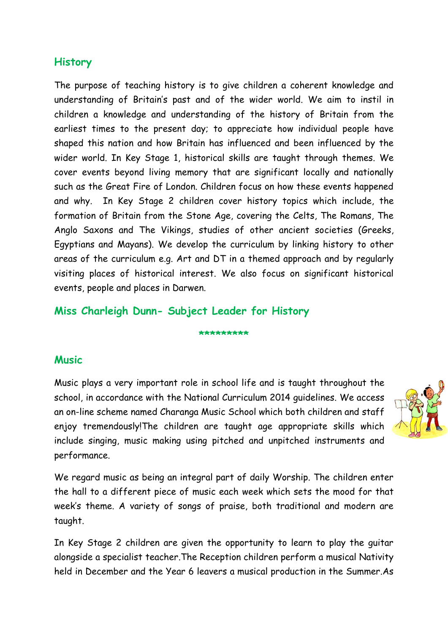#### **History**

The purpose of teaching history is to give children a coherent knowledge and understanding of Britain's past and of the wider world. We aim to instil in children a knowledge and understanding of the history of Britain from the earliest times to the present day; to appreciate how individual people have shaped this nation and how Britain has influenced and been influenced by the wider world. In Key Stage 1, historical skills are taught through themes. We cover events beyond living memory that are significant locally and nationally such as the Great Fire of London. Children focus on how these events happened and why. In Key Stage 2 children cover history topics which include, the formation of Britain from the Stone Age, covering the Celts, The Romans, The Anglo Saxons and The Vikings, studies of other ancient societies (Greeks, Egyptians and Mayans). We develop the curriculum by linking history to other areas of the curriculum e.g. Art and DT in a themed approach and by regularly visiting places of historical interest. We also focus on significant historical events, people and places in Darwen.

#### **Miss Charleigh Dunn- Subject Leader for History**

#### **\*\*\*\*\*\*\*\*\***

#### **Music**

Music plays a very important role in school life and is taught throughout the school, in accordance with the National Curriculum 2014 guidelines. We access an on-line scheme named Charanga Music School which both children and staff enjoy tremendously!The children are taught age appropriate skills which include singing, music making using pitched and unpitched instruments and performance.



We regard music as being an integral part of daily Worship. The children enter the hall to a different piece of music each week which sets the mood for that week's theme. A variety of songs of praise, both traditional and modern are taught.

In Key Stage 2 children are given the opportunity to learn to play the guitar alongside a specialist teacher.The Reception children perform a musical Nativity held in December and the Year 6 leavers a musical production in the Summer.As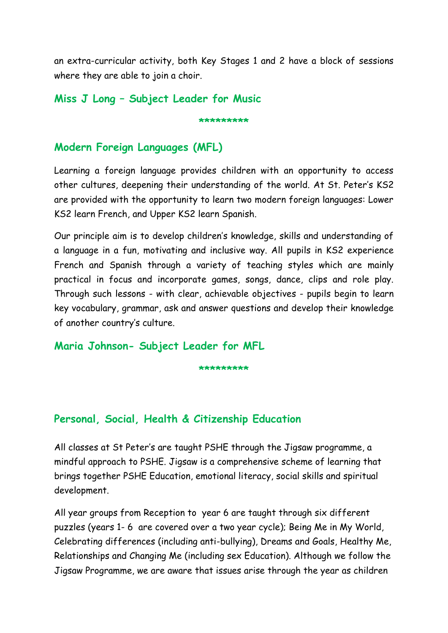an extra-curricular activity, both Key Stages 1 and 2 have a block of sessions where they are able to join a choir.

**\*\*\*\*\*\*\*\*\***

**Miss J Long – Subject Leader for Music**

# **Modern Foreign Languages (MFL)**

Learning a foreign language provides children with an opportunity to access other cultures, deepening their understanding of the world. At St. Peter's KS2 are provided with the opportunity to learn two modern foreign languages: Lower KS2 learn French, and Upper KS2 learn Spanish.

Our principle aim is to develop children's knowledge, skills and understanding of a language in a fun, motivating and inclusive way. All pupils in KS2 experience French and Spanish through a variety of teaching styles which are mainly practical in focus and incorporate games, songs, dance, clips and role play. Through such lessons - with clear, achievable objectives - pupils begin to learn key vocabulary, grammar, ask and answer questions and develop their knowledge of another country's culture.

#### **Maria Johnson- Subject Leader for MFL**

**\*\*\*\*\*\*\*\*\***

# **Personal, Social, Health & Citizenship Education**

All classes at St Peter's are taught PSHE through the Jigsaw programme, a mindful approach to PSHE. Jigsaw is a comprehensive scheme of learning that brings together PSHE Education, emotional literacy, social skills and spiritual development.

All year groups from Reception to year 6 are taught through six different puzzles (years 1- 6 are covered over a two year cycle); Being Me in My World, Celebrating differences (including anti-bullying), Dreams and Goals, Healthy Me, Relationships and Changing Me (including sex Education). Although we follow the Jigsaw Programme, we are aware that issues arise through the year as children